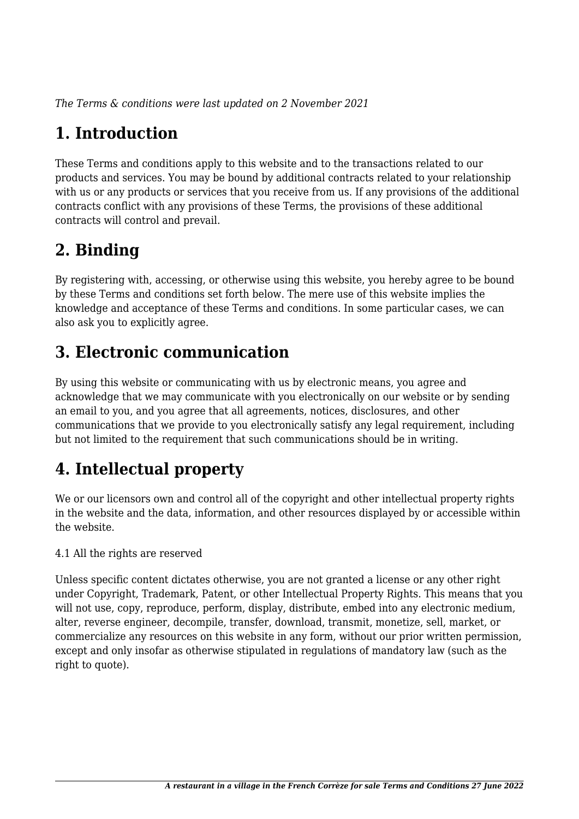*The Terms & conditions were last updated on 2 November 2021*

# **1. Introduction**

These Terms and conditions apply to this website and to the transactions related to our products and services. You may be bound by additional contracts related to your relationship with us or any products or services that you receive from us. If any provisions of the additional contracts conflict with any provisions of these Terms, the provisions of these additional contracts will control and prevail.

## **2. Binding**

By registering with, accessing, or otherwise using this website, you hereby agree to be bound by these Terms and conditions set forth below. The mere use of this website implies the knowledge and acceptance of these Terms and conditions. In some particular cases, we can also ask you to explicitly agree.

## **3. Electronic communication**

By using this website or communicating with us by electronic means, you agree and acknowledge that we may communicate with you electronically on our website or by sending an email to you, and you agree that all agreements, notices, disclosures, and other communications that we provide to you electronically satisfy any legal requirement, including but not limited to the requirement that such communications should be in writing.

# **4. Intellectual property**

We or our licensors own and control all of the copyright and other intellectual property rights in the website and the data, information, and other resources displayed by or accessible within the website.

4.1 All the rights are reserved

Unless specific content dictates otherwise, you are not granted a license or any other right under Copyright, Trademark, Patent, or other Intellectual Property Rights. This means that you will not use, copy, reproduce, perform, display, distribute, embed into any electronic medium, alter, reverse engineer, decompile, transfer, download, transmit, monetize, sell, market, or commercialize any resources on this website in any form, without our prior written permission, except and only insofar as otherwise stipulated in regulations of mandatory law (such as the right to quote).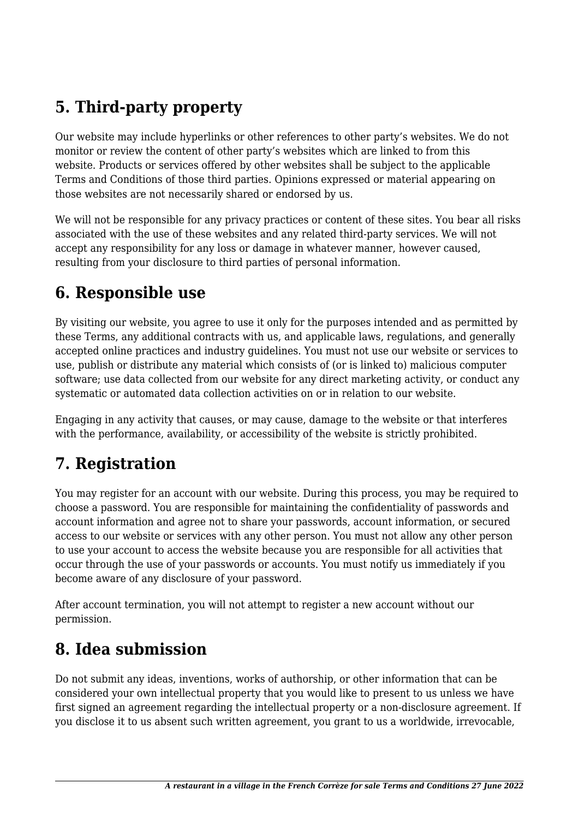## **5. Third-party property**

Our website may include hyperlinks or other references to other party's websites. We do not monitor or review the content of other party's websites which are linked to from this website. Products or services offered by other websites shall be subject to the applicable Terms and Conditions of those third parties. Opinions expressed or material appearing on those websites are not necessarily shared or endorsed by us.

We will not be responsible for any privacy practices or content of these sites. You bear all risks associated with the use of these websites and any related third-party services. We will not accept any responsibility for any loss or damage in whatever manner, however caused, resulting from your disclosure to third parties of personal information.

#### **6. Responsible use**

By visiting our website, you agree to use it only for the purposes intended and as permitted by these Terms, any additional contracts with us, and applicable laws, regulations, and generally accepted online practices and industry guidelines. You must not use our website or services to use, publish or distribute any material which consists of (or is linked to) malicious computer software; use data collected from our website for any direct marketing activity, or conduct any systematic or automated data collection activities on or in relation to our website.

Engaging in any activity that causes, or may cause, damage to the website or that interferes with the performance, availability, or accessibility of the website is strictly prohibited.

#### **7. Registration**

You may register for an account with our website. During this process, you may be required to choose a password. You are responsible for maintaining the confidentiality of passwords and account information and agree not to share your passwords, account information, or secured access to our website or services with any other person. You must not allow any other person to use your account to access the website because you are responsible for all activities that occur through the use of your passwords or accounts. You must notify us immediately if you become aware of any disclosure of your password.

After account termination, you will not attempt to register a new account without our permission.

#### **8. Idea submission**

Do not submit any ideas, inventions, works of authorship, or other information that can be considered your own intellectual property that you would like to present to us unless we have first signed an agreement regarding the intellectual property or a non-disclosure agreement. If you disclose it to us absent such written agreement, you grant to us a worldwide, irrevocable,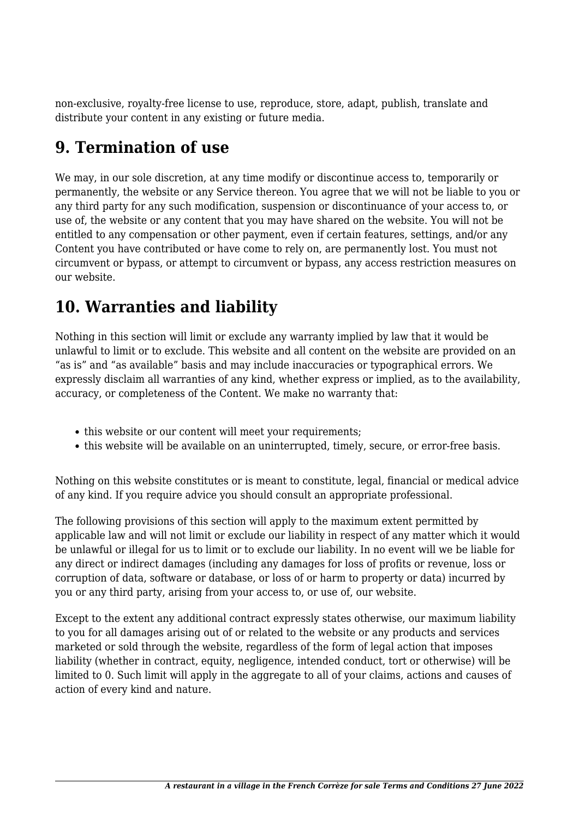non-exclusive, royalty-free license to use, reproduce, store, adapt, publish, translate and distribute your content in any existing or future media.

#### **9. Termination of use**

We may, in our sole discretion, at any time modify or discontinue access to, temporarily or permanently, the website or any Service thereon. You agree that we will not be liable to you or any third party for any such modification, suspension or discontinuance of your access to, or use of, the website or any content that you may have shared on the website. You will not be entitled to any compensation or other payment, even if certain features, settings, and/or any Content you have contributed or have come to rely on, are permanently lost. You must not circumvent or bypass, or attempt to circumvent or bypass, any access restriction measures on our website.

## **10. Warranties and liability**

Nothing in this section will limit or exclude any warranty implied by law that it would be unlawful to limit or to exclude. This website and all content on the website are provided on an "as is" and "as available" basis and may include inaccuracies or typographical errors. We expressly disclaim all warranties of any kind, whether express or implied, as to the availability, accuracy, or completeness of the Content. We make no warranty that:

- this website or our content will meet your requirements;
- this website will be available on an uninterrupted, timely, secure, or error-free basis.

Nothing on this website constitutes or is meant to constitute, legal, financial or medical advice of any kind. If you require advice you should consult an appropriate professional.

The following provisions of this section will apply to the maximum extent permitted by applicable law and will not limit or exclude our liability in respect of any matter which it would be unlawful or illegal for us to limit or to exclude our liability. In no event will we be liable for any direct or indirect damages (including any damages for loss of profits or revenue, loss or corruption of data, software or database, or loss of or harm to property or data) incurred by you or any third party, arising from your access to, or use of, our website.

Except to the extent any additional contract expressly states otherwise, our maximum liability to you for all damages arising out of or related to the website or any products and services marketed or sold through the website, regardless of the form of legal action that imposes liability (whether in contract, equity, negligence, intended conduct, tort or otherwise) will be limited to 0. Such limit will apply in the aggregate to all of your claims, actions and causes of action of every kind and nature.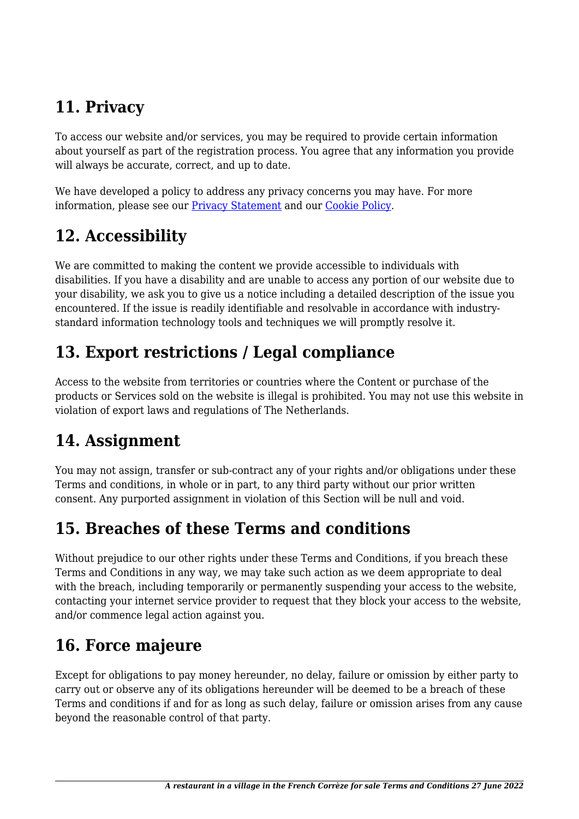# **11. Privacy**

To access our website and/or services, you may be required to provide certain information about yourself as part of the registration process. You agree that any information you provide will always be accurate, correct, and up to date.

We have developed a policy to address any privacy concerns you may have. For more information, please see our Privacy Statement and our [Cookie Policy](https://www.foodsoul.nl/lts/cookiebeleid-eu).

## **12. Accessibility**

We are committed to making the content we provide accessible to individuals with disabilities. If you have a disability and are unable to access any portion of our website due to your disability, we ask you to give us a notice including a detailed description of the issue you encountered. If the issue is readily identifiable and resolvable in accordance with industrystandard information technology tools and techniques we will promptly resolve it.

## **13. Export restrictions / Legal compliance**

Access to the website from territories or countries where the Content or purchase of the products or Services sold on the website is illegal is prohibited. You may not use this website in violation of export laws and regulations of The Netherlands.

#### **14. Assignment**

You may not assign, transfer or sub-contract any of your rights and/or obligations under these Terms and conditions, in whole or in part, to any third party without our prior written consent. Any purported assignment in violation of this Section will be null and void.

#### **15. Breaches of these Terms and conditions**

Without prejudice to our other rights under these Terms and Conditions, if you breach these Terms and Conditions in any way, we may take such action as we deem appropriate to deal with the breach, including temporarily or permanently suspending your access to the website, contacting your internet service provider to request that they block your access to the website, and/or commence legal action against you.

# **16. Force majeure**

Except for obligations to pay money hereunder, no delay, failure or omission by either party to carry out or observe any of its obligations hereunder will be deemed to be a breach of these Terms and conditions if and for as long as such delay, failure or omission arises from any cause beyond the reasonable control of that party.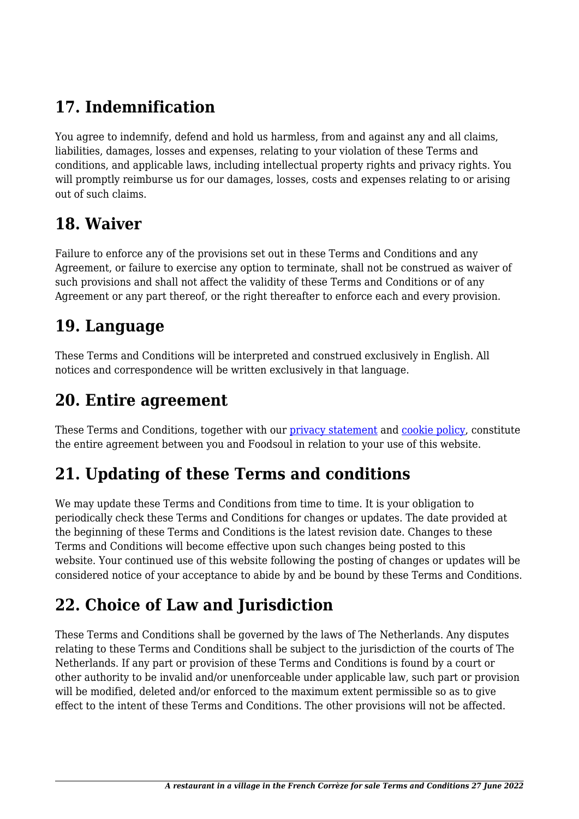## **17. Indemnification**

You agree to indemnify, defend and hold us harmless, from and against any and all claims, liabilities, damages, losses and expenses, relating to your violation of these Terms and conditions, and applicable laws, including intellectual property rights and privacy rights. You will promptly reimburse us for our damages, losses, costs and expenses relating to or arising out of such claims.

#### **18. Waiver**

Failure to enforce any of the provisions set out in these Terms and Conditions and any Agreement, or failure to exercise any option to terminate, shall not be construed as waiver of such provisions and shall not affect the validity of these Terms and Conditions or of any Agreement or any part thereof, or the right thereafter to enforce each and every provision.

#### **19. Language**

These Terms and Conditions will be interpreted and construed exclusively in English. All notices and correspondence will be written exclusively in that language.

#### **20. Entire agreement**

These Terms and Conditions, together with our *privacy statement* and *cookie policy*, constitute the entire agreement between you and Foodsoul in relation to your use of this website.

# **21. Updating of these Terms and conditions**

We may update these Terms and Conditions from time to time. It is your obligation to periodically check these Terms and Conditions for changes or updates. The date provided at the beginning of these Terms and Conditions is the latest revision date. Changes to these Terms and Conditions will become effective upon such changes being posted to this website. Your continued use of this website following the posting of changes or updates will be considered notice of your acceptance to abide by and be bound by these Terms and Conditions.

# **22. Choice of Law and Jurisdiction**

These Terms and Conditions shall be governed by the laws of The Netherlands. Any disputes relating to these Terms and Conditions shall be subject to the jurisdiction of the courts of The Netherlands. If any part or provision of these Terms and Conditions is found by a court or other authority to be invalid and/or unenforceable under applicable law, such part or provision will be modified, deleted and/or enforced to the maximum extent permissible so as to give effect to the intent of these Terms and Conditions. The other provisions will not be affected.